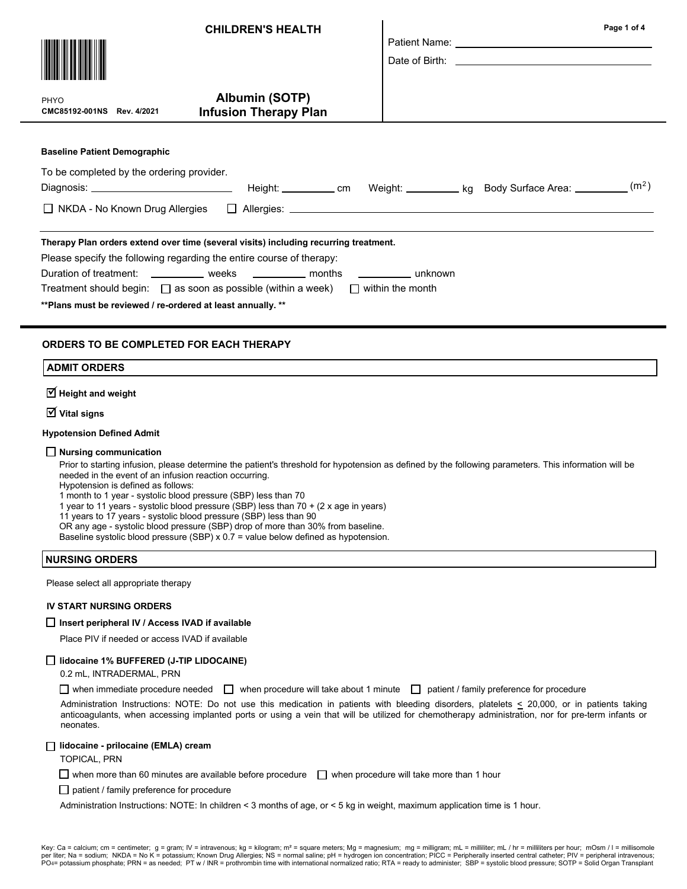|                                                                                            | <b>CHILDREN'S HEALTH</b>                       |  |  | Page 1 of 4 |  |
|--------------------------------------------------------------------------------------------|------------------------------------------------|--|--|-------------|--|
| PHYO<br>CMC85192-001NS Rev. 4/2021                                                         | Albumin (SOTP)<br><b>Infusion Therapy Plan</b> |  |  |             |  |
| <b>Baseline Patient Demographic</b>                                                        |                                                |  |  |             |  |
| To be completed by the ordering provider.                                                  |                                                |  |  |             |  |
|                                                                                            |                                                |  |  |             |  |
|                                                                                            |                                                |  |  |             |  |
| Therapy Plan orders extend over time (several visits) including recurring treatment.       |                                                |  |  |             |  |
| Please specify the following regarding the entire course of therapy:                       |                                                |  |  |             |  |
| Duration of treatment: ____________ weeks ___________ months __________ unknown            |                                                |  |  |             |  |
| Treatment should begin: $\Box$ as soon as possible (within a week) $\Box$ within the month |                                                |  |  |             |  |
| ** Plans must be reviewed / re-ordered at least annually. **                               |                                                |  |  |             |  |
| ORDERS TO BE COMPLETED FOR EACH THERAPY                                                    |                                                |  |  |             |  |

# ADMIT ORDERS

 $\overline{\trianglelefteq}$  Height and weight

 $\overline{\mathsf{V}}$  Vital signs

#### Hypotension Defined Admit

#### $\Box$  Nursing communication

Prior to starting infusion, please determine the patient's threshold for hypotension as defined by the following parameters. This information will be needed in the event of an infusion reaction occurring.

Hypotension is defined as follows:

1 month to 1 year - systolic blood pressure (SBP) less than 70

1 year to 11 years - systolic blood pressure (SBP) less than 70 + (2 x age in years)

11 years to 17 years - systolic blood pressure (SBP) less than 90

OR any age - systolic blood pressure (SBP) drop of more than 30% from baseline.

Baseline systolic blood pressure (SBP)  $x$  0.7 = value below defined as hypotension.

### NURSING ORDERS

Please select all appropriate therapy

### IV START NURSING ORDERS

## $\Box$  Insert peripheral IV / Access IVAD if available

Place PIV if needed or access IVAD if available

# lidocaine 1% BUFFERED (J-TIP LIDOCAINE)

0.2 mL, INTRADERMAL, PRN

when immediate procedure needed  $\Box$  when procedure will take about 1 minute  $\Box$  patient / family preference for procedure

Administration Instructions: NOTE: Do not use this medication in patients with bleeding disorders, platelets  $\leq$  20,000, or in patients taking anticoagulants, when accessing implanted ports or using a vein that will be utilized for chemotherapy administration, nor for pre-term infants or neonates.

# □ lidocaine - prilocaine (EMLA) cream

TOPICAL, PRN

 $\Box$  when more than 60 minutes are available before procedure  $\Box$  when procedure will take more than 1 hour

 $\Box$  patient / family preference for procedure

Administration Instructions: NOTE: In children < 3 months of age, or < 5 kg in weight, maximum application time is 1 hour.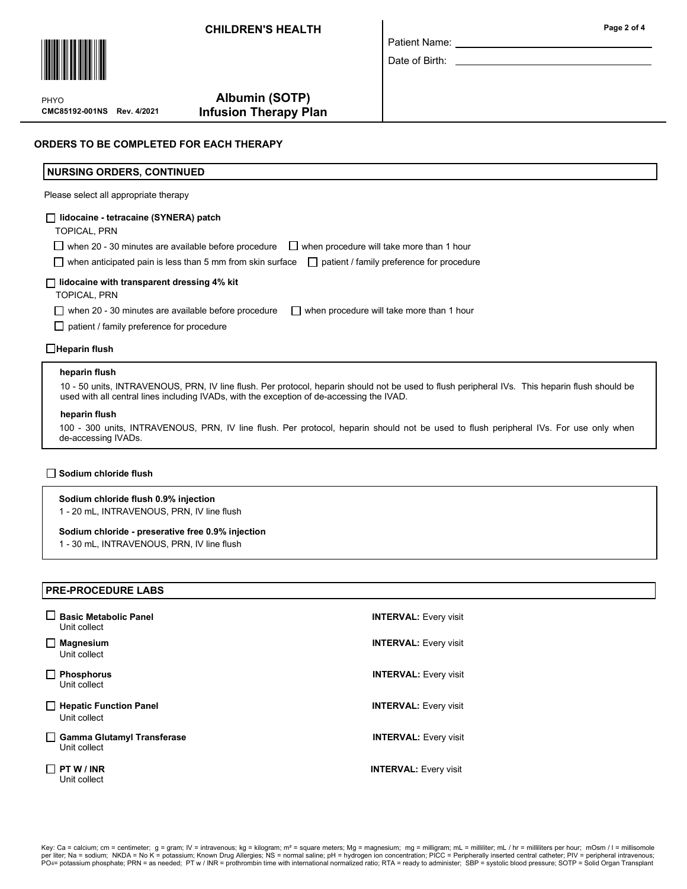# CHILDREN'S HEALTH



CMC85192-001NS Rev. 4/2021 PHYO

# Albumin (SOTP) Infusion Therapy Plan

Date of Birth:

# NURSING ORDERS, CONTINUED

Please select all appropriate therapy

### lidocaine - tetracaine (SYNERA) patch

TOPICAL, PRN

 $\Box$  when 20 - 30 minutes are available before procedure  $\Box$  when procedure will take more than 1 hour

 $\Box$  when anticipated pain is less than 5 mm from skin surface  $\Box$  patient / family preference for procedure

## $\Box$  lidocaine with transparent dressing 4% kit

TOPICAL, PRN

when 20 - 30 minutes are available before procedure  $\Box$  when procedure will take more than 1 hour

 $\Box$  patient / family preference for procedure

 $\Box$ Heparin flush

#### heparin flush

10 - 50 units, INTRAVENOUS, PRN, IV line flush. Per protocol, heparin should not be used to flush peripheral IVs. This heparin flush should be used with all central lines including IVADs, with the exception of de-accessing the IVAD.

#### heparin flush

100 - 300 units, INTRAVENOUS, PRN, IV line flush. Per protocol, heparin should not be used to flush peripheral IVs. For use only when de-accessing IVADs.

### Sodium chloride flush

### Sodium chloride flush 0.9% injection

1 - 20 mL, INTRAVENOUS, PRN, IV line flush

#### Sodium chloride - preserative free 0.9% injection

1 - 30 mL, INTRAVENOUS, PRN, IV line flush

# PRE-PROCEDURE LABS

| <b>Basic Metabolic Panel</b><br>Unit collect      | <b>INTERVAL:</b> Every visit |
|---------------------------------------------------|------------------------------|
| <b>Magnesium</b><br>Unit collect                  | <b>INTERVAL: Every visit</b> |
| <b>Phosphorus</b><br>Unit collect                 | <b>INTERVAL: Every visit</b> |
| <b>Hepatic Function Panel</b><br>Unit collect     | <b>INTERVAL: Every visit</b> |
| <b>Gamma Glutamyl Transferase</b><br>Unit collect | <b>INTERVAL: Every visit</b> |
| PT W / INR<br>Unit collect                        | <b>INTERVAL: Every visit</b> |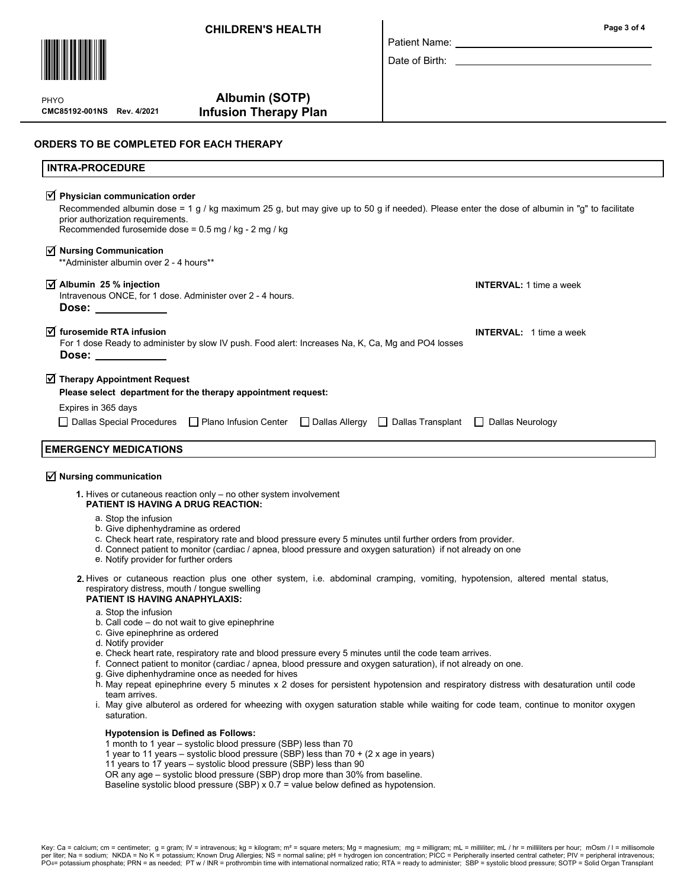# CHILDREN'S HEALTH



CMC85192-001NS Rev. 4/2021 PHYO

# Albumin (SOTP) Infusion Therapy Plan

| Patient Name: |  |
|---------------|--|

Date of Birth:

# ORDERS TO BE COMPLETED FOR EACH THERAPY

| <b>INTRA-PROCEDURE</b>                                                                                                                                                                                                                                                                                                                                                               |                                |
|--------------------------------------------------------------------------------------------------------------------------------------------------------------------------------------------------------------------------------------------------------------------------------------------------------------------------------------------------------------------------------------|--------------------------------|
| $\sqrt{ }$ Physician communication order<br>Recommended albumin dose = 1 g / kg maximum 25 g, but may give up to 50 g if needed). Please enter the dose of albumin in "g" to facilitate<br>prior authorization requirements.<br>Recommended furosemide dose = 0.5 mg / kg - 2 mg / kg                                                                                                |                                |
| $\overrightarrow{v}$ Nursing Communication<br>** Administer albumin over 2 - 4 hours**                                                                                                                                                                                                                                                                                               |                                |
| $\sqrt{ }$ Albumin 25 % injection<br>Intravenous ONCE, for 1 dose. Administer over 2 - 4 hours.<br>Dose: $\qquad \qquad \qquad$                                                                                                                                                                                                                                                      | <b>INTERVAL: 1 time a week</b> |
| $\overrightarrow{M}$ furosemide RTA infusion<br>For 1 dose Ready to administer by slow IV push. Food alert: Increases Na, K, Ca, Mg and PO4 losses<br>Dose: the contract of the contract of the contract of the contract of the contract of the contract of the contract of the contract of the contract of the contract of the contract of the contract of the contract of the cont | <b>INTERVAL:</b> 1 time a week |
| $\sqrt{ }$ Therapy Appointment Request<br>Please select department for the therapy appointment request:                                                                                                                                                                                                                                                                              |                                |
| Expires in 365 days                                                                                                                                                                                                                                                                                                                                                                  |                                |
| □ Dallas Special Procedures □ Plano Infusion Center □ Dallas Allergy □ Dallas Transplant □ Dallas Neurology                                                                                                                                                                                                                                                                          |                                |
| <b>EMERGENCY MEDICATIONS</b>                                                                                                                                                                                                                                                                                                                                                         |                                |

# $\overline{\trianglelefteq}$  Nursing communication

- 1. Hives or cutaneous reaction only no other system involvement PATIENT IS HAVING A DRUG REACTION:
	- a. Stop the infusion
	- b. Give diphenhydramine as ordered
	- c. Check heart rate, respiratory rate and blood pressure every 5 minutes until further orders from provider.
	- d. Connect patient to monitor (cardiac / apnea, blood pressure and oxygen saturation) if not already on one
	- e. Notify provider for further orders
- 2. Hives or cutaneous reaction plus one other system, i.e. abdominal cramping, vomiting, hypotension, altered mental status, respiratory distress, mouth / tongue swelling

### PATIENT IS HAVING ANAPHYLAXIS:

- a. Stop the infusion
- b. Call code do not wait to give epinephrine
- c. Give epinephrine as ordered
- d. Notify provider
- e. Check heart rate, respiratory rate and blood pressure every 5 minutes until the code team arrives.
- f. Connect patient to monitor (cardiac / apnea, blood pressure and oxygen saturation), if not already on one.
- Give diphenhydramine once as needed for hives g.
- h. May repeat epinephrine every 5 minutes x 2 doses for persistent hypotension and respiratory distress with desaturation until code team arrives.
- May give albuterol as ordered for wheezing with oxygen saturation stable while waiting for code team, continue to monitor oxygen i. saturation.

#### Hypotension is Defined as Follows:

- 1 month to 1 year systolic blood pressure (SBP) less than 70
- 1 year to 11 years systolic blood pressure (SBP) less than 70 + (2 x age in years)
- 11 years to 17 years systolic blood pressure (SBP) less than 90
- OR any age systolic blood pressure (SBP) drop more than 30% from baseline.
- Baseline systolic blood pressure (SBP) x 0.7 = value below defined as hypotension.